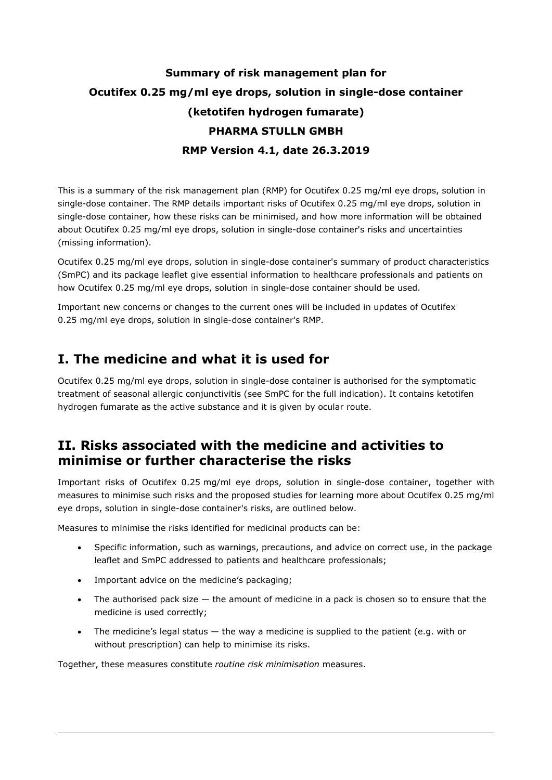# Summary of risk management plan for Ocutifex 0.25 mg/ml eye drops, solution in single-dose container (ketotifen hydrogen fumarate) PHARMA STULLN GMBH RMP Version 4.1, date 26.3.2019

This is a summary of the risk management plan (RMP) for Ocutifex 0.25 mg/ml eye drops, solution in single-dose container. The RMP details important risks of Ocutifex 0.25 mg/ml eye drops, solution in single-dose container, how these risks can be minimised, and how more information will be obtained about Ocutifex 0.25 mg/ml eye drops, solution in single-dose container's risks and uncertainties (missing information).

Ocutifex 0.25 mg/ml eye drops, solution in single-dose container's summary of product characteristics (SmPC) and its package leaflet give essential information to healthcare professionals and patients on how Ocutifex 0.25 mg/ml eye drops, solution in single-dose container should be used.

Important new concerns or changes to the current ones will be included in updates of Ocutifex 0.25 mg/ml eye drops, solution in single-dose container's RMP.

# I. The medicine and what it is used for

Ocutifex 0.25 mg/ml eye drops, solution in single-dose container is authorised for the symptomatic treatment of seasonal allergic conjunctivitis (see SmPC for the full indication). It contains ketotifen hydrogen fumarate as the active substance and it is given by ocular route.

# II. Risks associated with the medicine and activities to minimise or further characterise the risks

Important risks of Ocutifex 0.25 mg/ml eye drops, solution in single-dose container, together with measures to minimise such risks and the proposed studies for learning more about Ocutifex 0.25 mg/ml eye drops, solution in single-dose container's risks, are outlined below.

Measures to minimise the risks identified for medicinal products can be:

- Specific information, such as warnings, precautions, and advice on correct use, in the package leaflet and SmPC addressed to patients and healthcare professionals;
- Important advice on the medicine's packaging;
- The authorised pack size the amount of medicine in a pack is chosen so to ensure that the medicine is used correctly;
- The medicine's legal status  $-$  the way a medicine is supplied to the patient (e.g. with or without prescription) can help to minimise its risks.

Together, these measures constitute routine risk minimisation measures.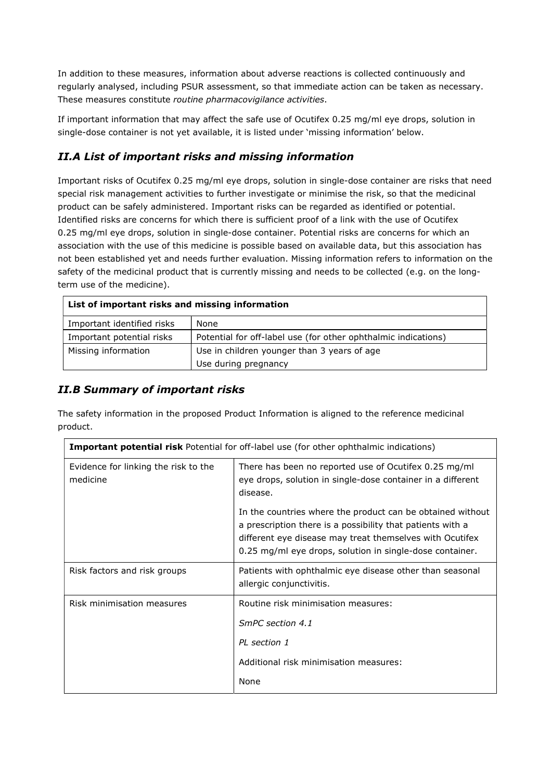In addition to these measures, information about adverse reactions is collected continuously and regularly analysed, including PSUR assessment, so that immediate action can be taken as necessary. These measures constitute routine pharmacovigilance activities.

If important information that may affect the safe use of Ocutifex 0.25 mg/ml eye drops, solution in single-dose container is not yet available, it is listed under 'missing information' below.

## II.A List of important risks and missing information

Important risks of Ocutifex 0.25 mg/ml eye drops, solution in single-dose container are risks that need special risk management activities to further investigate or minimise the risk, so that the medicinal product can be safely administered. Important risks can be regarded as identified or potential. Identified risks are concerns for which there is sufficient proof of a link with the use of Ocutifex 0.25 mg/ml eye drops, solution in single-dose container. Potential risks are concerns for which an association with the use of this medicine is possible based on available data, but this association has not been established yet and needs further evaluation. Missing information refers to information on the safety of the medicinal product that is currently missing and needs to be collected (e.g. on the longterm use of the medicine).

| List of important risks and missing information |                                                                |  |
|-------------------------------------------------|----------------------------------------------------------------|--|
| Important identified risks                      | None                                                           |  |
| Important potential risks                       | Potential for off-label use (for other ophthalmic indications) |  |
| Missing information                             | Use in children younger than 3 years of age                    |  |
|                                                 | Use during pregnancy                                           |  |

#### II.B Summary of important risks

The safety information in the proposed Product Information is aligned to the reference medicinal product.

| <b>Important potential risk Potential for off-label use (for other ophthalmic indications)</b> |                                                                                                                                                                                                                                                  |  |
|------------------------------------------------------------------------------------------------|--------------------------------------------------------------------------------------------------------------------------------------------------------------------------------------------------------------------------------------------------|--|
| Evidence for linking the risk to the<br>medicine                                               | There has been no reported use of Ocutifex 0.25 mg/ml<br>eye drops, solution in single-dose container in a different<br>disease.                                                                                                                 |  |
|                                                                                                | In the countries where the product can be obtained without<br>a prescription there is a possibility that patients with a<br>different eye disease may treat themselves with Ocutifex<br>0.25 mg/ml eye drops, solution in single-dose container. |  |
| Risk factors and risk groups                                                                   | Patients with ophthalmic eye disease other than seasonal<br>allergic conjunctivitis.                                                                                                                                                             |  |
| Risk minimisation measures                                                                     | Routine risk minimisation measures:                                                                                                                                                                                                              |  |
|                                                                                                | SmPC section 4.1                                                                                                                                                                                                                                 |  |
|                                                                                                | PI section 1                                                                                                                                                                                                                                     |  |
|                                                                                                | Additional risk minimisation measures:                                                                                                                                                                                                           |  |
|                                                                                                | None                                                                                                                                                                                                                                             |  |